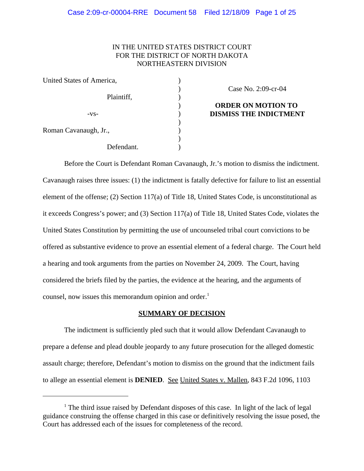# IN THE UNITED STATES DISTRICT COURT FOR THE DISTRICT OF NORTH DAKOTA NORTHEASTERN DIVISION

| United States of America, |  |
|---------------------------|--|
| Plaintiff,                |  |
| $-VS-$                    |  |
| Roman Cavanaugh, Jr.,     |  |
| Defendant.                |  |

Case No. 2:09-cr-04

# **ORDER ON MOTION TO DISMISS THE INDICTMENT**

Before the Court is Defendant Roman Cavanaugh, Jr.'s motion to dismiss the indictment. Cavanaugh raises three issues: (1) the indictment is fatally defective for failure to list an essential element of the offense; (2) Section 117(a) of Title 18, United States Code, is unconstitutional as it exceeds Congress's power; and (3) Section 117(a) of Title 18, United States Code, violates the United States Constitution by permitting the use of uncounseled tribal court convictions to be offered as substantive evidence to prove an essential element of a federal charge. The Court held a hearing and took arguments from the parties on November 24, 2009. The Court, having considered the briefs filed by the parties, the evidence at the hearing, and the arguments of counsel, now issues this memorandum opinion and order.<sup>1</sup>

## **SUMMARY OF DECISION**

The indictment is sufficiently pled such that it would allow Defendant Cavanaugh to prepare a defense and plead double jeopardy to any future prosecution for the alleged domestic assault charge; therefore, Defendant's motion to dismiss on the ground that the indictment fails to allege an essential element is **DENIED**. See United States v. Mallen, 843 F.2d 1096, 1103

<sup>&</sup>lt;sup>1</sup> The third issue raised by Defendant disposes of this case. In light of the lack of legal guidance construing the offense charged in this case or definitively resolving the issue posed, the Court has addressed each of the issues for completeness of the record.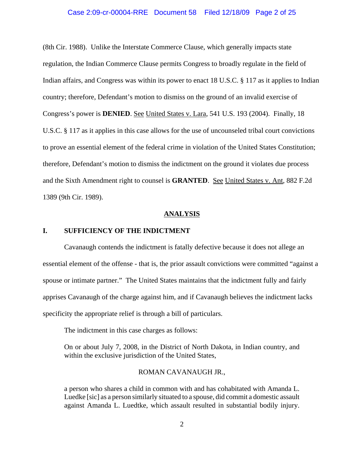#### Case 2:09-cr-00004-RRE Document 58 Filed 12/18/09 Page 2 of 25

(8th Cir. 1988). Unlike the Interstate Commerce Clause, which generally impacts state regulation, the Indian Commerce Clause permits Congress to broadly regulate in the field of Indian affairs, and Congress was within its power to enact 18 U.S.C. § 117 as it applies to Indian country; therefore, Defendant's motion to dismiss on the ground of an invalid exercise of Congress's power is **DENIED**. See United States v. Lara, 541 U.S. 193 (2004). Finally, 18 U.S.C. § 117 as it applies in this case allows for the use of uncounseled tribal court convictions to prove an essential element of the federal crime in violation of the United States Constitution; therefore, Defendant's motion to dismiss the indictment on the ground it violates due process and the Sixth Amendment right to counsel is **GRANTED**. See United States v. Ant, 882 F.2d 1389 (9th Cir. 1989).

#### **ANALYSIS**

## **I. SUFFICIENCY OF THE INDICTMENT**

Cavanaugh contends the indictment is fatally defective because it does not allege an essential element of the offense - that is, the prior assault convictions were committed "against a spouse or intimate partner." The United States maintains that the indictment fully and fairly apprises Cavanaugh of the charge against him, and if Cavanaugh believes the indictment lacks specificity the appropriate relief is through a bill of particulars.

The indictment in this case charges as follows:

On or about July 7, 2008, in the District of North Dakota, in Indian country, and within the exclusive jurisdiction of the United States,

## ROMAN CAVANAUGH JR.,

a person who shares a child in common with and has cohabitated with Amanda L. Luedke [sic] as a person similarly situated to a spouse, did commit a domestic assault against Amanda L. Luedtke, which assault resulted in substantial bodily injury.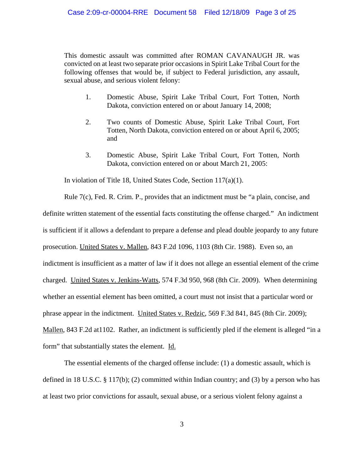This domestic assault was committed after ROMAN CAVANAUGH JR. was convicted on at least two separate prior occasions in Spirit Lake Tribal Court for the following offenses that would be, if subject to Federal jurisdiction, any assault, sexual abuse, and serious violent felony:

- 1. Domestic Abuse, Spirit Lake Tribal Court, Fort Totten, North Dakota, conviction entered on or about January 14, 2008;
- 2. Two counts of Domestic Abuse, Spirit Lake Tribal Court, Fort Totten, North Dakota, conviction entered on or about April 6, 2005; and
- 3. Domestic Abuse, Spirit Lake Tribal Court, Fort Totten, North Dakota, conviction entered on or about March 21, 2005:

In violation of Title 18, United States Code, Section 117(a)(1).

Rule 7(c), Fed. R. Crim. P., provides that an indictment must be "a plain, concise, and definite written statement of the essential facts constituting the offense charged." An indictment is sufficient if it allows a defendant to prepare a defense and plead double jeopardy to any future prosecution. United States v. Mallen, 843 F.2d 1096, 1103 (8th Cir. 1988). Even so, an indictment is insufficient as a matter of law if it does not allege an essential element of the crime charged. United States v. Jenkins-Watts, 574 F.3d 950, 968 (8th Cir. 2009). When determining whether an essential element has been omitted, a court must not insist that a particular word or phrase appear in the indictment. United States v. Redzic, 569 F.3d 841, 845 (8th Cir. 2009); Mallen, 843 F.2d at 1102. Rather, an indictment is sufficiently pled if the element is alleged "in a form" that substantially states the element. Id.

The essential elements of the charged offense include: (1) a domestic assault, which is defined in 18 U.S.C.  $\S 117(b)$ ; (2) committed within Indian country; and (3) by a person who has at least two prior convictions for assault, sexual abuse, or a serious violent felony against a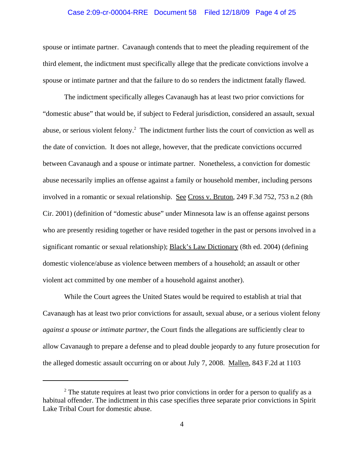#### Case 2:09-cr-00004-RRE Document 58 Filed 12/18/09 Page 4 of 25

spouse or intimate partner. Cavanaugh contends that to meet the pleading requirement of the third element, the indictment must specifically allege that the predicate convictions involve a spouse or intimate partner and that the failure to do so renders the indictment fatally flawed.

The indictment specifically alleges Cavanaugh has at least two prior convictions for "domestic abuse" that would be, if subject to Federal jurisdiction, considered an assault, sexual abuse, or serious violent felony.<sup>2</sup> The indictment further lists the court of conviction as well as the date of conviction. It does not allege, however, that the predicate convictions occurred between Cavanaugh and a spouse or intimate partner. Nonetheless, a conviction for domestic abuse necessarily implies an offense against a family or household member, including persons involved in a romantic or sexual relationship. See Cross v. Bruton, 249 F.3d 752, 753 n.2 (8th Cir. 2001) (definition of "domestic abuse" under Minnesota law is an offense against persons who are presently residing together or have resided together in the past or persons involved in a significant romantic or sexual relationship); Black's Law Dictionary (8th ed. 2004) (defining domestic violence/abuse as violence between members of a household; an assault or other violent act committed by one member of a household against another).

While the Court agrees the United States would be required to establish at trial that Cavanaugh has at least two prior convictions for assault, sexual abuse, or a serious violent felony *against a spouse or intimate partner*, the Court finds the allegations are sufficiently clear to allow Cavanaugh to prepare a defense and to plead double jeopardy to any future prosecution for the alleged domestic assault occurring on or about July 7, 2008. Mallen, 843 F.2d at 1103

 $2<sup>2</sup>$  The statute requires at least two prior convictions in order for a person to qualify as a habitual offender. The indictment in this case specifies three separate prior convictions in Spirit Lake Tribal Court for domestic abuse.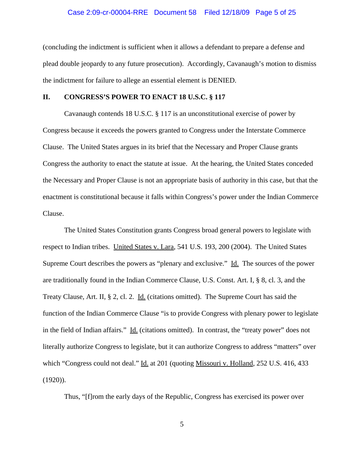#### Case 2:09-cr-00004-RRE Document 58 Filed 12/18/09 Page 5 of 25

(concluding the indictment is sufficient when it allows a defendant to prepare a defense and plead double jeopardy to any future prosecution). Accordingly, Cavanaugh's motion to dismiss the indictment for failure to allege an essential element is DENIED.

#### **II. CONGRESS'S POWER TO ENACT 18 U.S.C. § 117**

Cavanaugh contends 18 U.S.C. § 117 is an unconstitutional exercise of power by Congress because it exceeds the powers granted to Congress under the Interstate Commerce Clause. The United States argues in its brief that the Necessary and Proper Clause grants Congress the authority to enact the statute at issue. At the hearing, the United States conceded the Necessary and Proper Clause is not an appropriate basis of authority in this case, but that the enactment is constitutional because it falls within Congress's power under the Indian Commerce Clause.

The United States Constitution grants Congress broad general powers to legislate with respect to Indian tribes. United States v. Lara, 541 U.S. 193, 200 (2004). The United States Supreme Court describes the powers as "plenary and exclusive." Id. The sources of the power are traditionally found in the Indian Commerce Clause, U.S. Const. Art. I, § 8, cl. 3, and the Treaty Clause, Art. II, § 2, cl. 2. Id. (citations omitted). The Supreme Court has said the function of the Indian Commerce Clause "is to provide Congress with plenary power to legislate in the field of Indian affairs." Id. (citations omitted). In contrast, the "treaty power" does not literally authorize Congress to legislate, but it can authorize Congress to address "matters" over which "Congress could not deal." Id. at 201 (quoting Missouri v. Holland, 252 U.S. 416, 433  $(1920)$ ).

Thus, "[f]rom the early days of the Republic, Congress has exercised its power over

5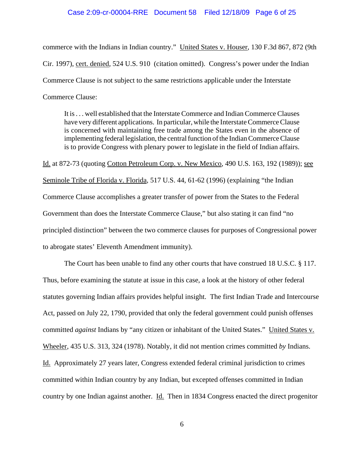#### Case 2:09-cr-00004-RRE Document 58 Filed 12/18/09 Page 6 of 25

commerce with the Indians in Indian country." United States v. Houser, 130 F.3d 867, 872 (9th Cir. 1997), cert. denied, 524 U.S. 910 (citation omitted). Congress's power under the Indian Commerce Clause is not subject to the same restrictions applicable under the Interstate Commerce Clause:

It is . . . well established that the Interstate Commerce and Indian Commerce Clauses have very different applications. In particular, while the Interstate Commerce Clause is concerned with maintaining free trade among the States even in the absence of implementing federal legislation, the central function of the Indian Commerce Clause is to provide Congress with plenary power to legislate in the field of Indian affairs.

Id. at 872-73 (quoting Cotton Petroleum Corp. v. New Mexico, 490 U.S. 163, 192 (1989)); see Seminole Tribe of Florida v. Florida, 517 U.S. 44, 61-62 (1996) (explaining "the Indian Commerce Clause accomplishes a greater transfer of power from the States to the Federal Government than does the Interstate Commerce Clause," but also stating it can find "no principled distinction" between the two commerce clauses for purposes of Congressional power to abrogate states' Eleventh Amendment immunity).

The Court has been unable to find any other courts that have construed 18 U.S.C. § 117. Thus, before examining the statute at issue in this case, a look at the history of other federal statutes governing Indian affairs provides helpful insight. The first Indian Trade and Intercourse Act, passed on July 22, 1790, provided that only the federal government could punish offenses committed *against* Indians by "any citizen or inhabitant of the United States." United States v. Wheeler, 435 U.S. 313, 324 (1978). Notably, it did not mention crimes committed *by* Indians. Id. Approximately 27 years later, Congress extended federal criminal jurisdiction to crimes committed within Indian country by any Indian, but excepted offenses committed in Indian country by one Indian against another. Id. Then in 1834 Congress enacted the direct progenitor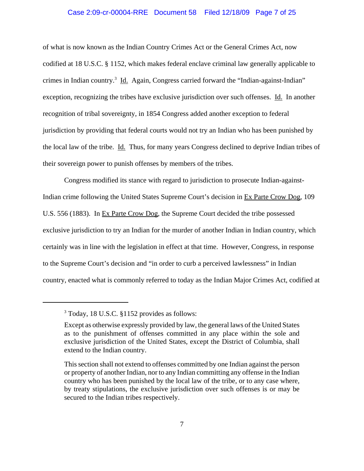#### Case 2:09-cr-00004-RRE Document 58 Filed 12/18/09 Page 7 of 25

of what is now known as the Indian Country Crimes Act or the General Crimes Act, now codified at 18 U.S.C. § 1152, which makes federal enclave criminal law generally applicable to crimes in Indian country.<sup>3</sup> Id. Again, Congress carried forward the "Indian-against-Indian" exception, recognizing the tribes have exclusive jurisdiction over such offenses. Id. In another recognition of tribal sovereignty, in 1854 Congress added another exception to federal jurisdiction by providing that federal courts would not try an Indian who has been punished by the local law of the tribe. Id. Thus, for many years Congress declined to deprive Indian tribes of their sovereign power to punish offenses by members of the tribes.

Congress modified its stance with regard to jurisdiction to prosecute Indian-against-Indian crime following the United States Supreme Court's decision in Ex Parte Crow Dog, 109 U.S. 556 (1883). In Ex Parte Crow Dog, the Supreme Court decided the tribe possessed exclusive jurisdiction to try an Indian for the murder of another Indian in Indian country, which certainly was in line with the legislation in effect at that time. However, Congress, in response to the Supreme Court's decision and "in order to curb a perceived lawlessness" in Indian country, enacted what is commonly referred to today as the Indian Major Crimes Act, codified at

<sup>3</sup> Today, 18 U.S.C. §1152 provides as follows:

Except as otherwise expressly provided by law, the general laws of the United States as to the punishment of offenses committed in any place within the sole and exclusive jurisdiction of the United States, except the District of Columbia, shall extend to the Indian country.

This section shall not extend to offenses committed by one Indian against the person or property of another Indian, nor to any Indian committing any offense in the Indian country who has been punished by the local law of the tribe, or to any case where, by treaty stipulations, the exclusive jurisdiction over such offenses is or may be secured to the Indian tribes respectively.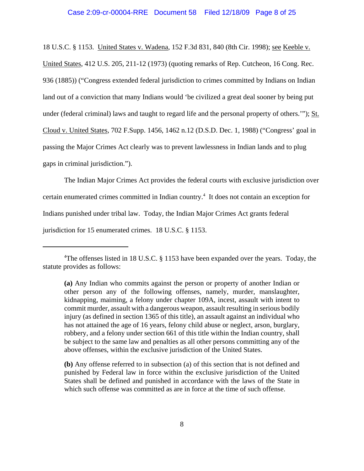18 U.S.C. § 1153. United States v. Wadena, 152 F.3d 831, 840 (8th Cir. 1998); see Keeble v. United States, 412 U.S. 205, 211-12 (1973) (quoting remarks of Rep. Cutcheon, 16 Cong. Rec. 936 (1885)) ("Congress extended federal jurisdiction to crimes committed by Indians on Indian land out of a conviction that many Indians would 'be civilized a great deal sooner by being put under (federal criminal) laws and taught to regard life and the personal property of others.""); St. Cloud v. United States, 702 F.Supp. 1456, 1462 n.12 (D.S.D. Dec. 1, 1988) ("Congress' goal in passing the Major Crimes Act clearly was to prevent lawlessness in Indian lands and to plug gaps in criminal jurisdiction.").

The Indian Major Crimes Act provides the federal courts with exclusive jurisdiction over certain enumerated crimes committed in Indian country.<sup>4</sup> It does not contain an exception for Indians punished under tribal law. Today, the Indian Major Crimes Act grants federal jurisdiction for 15 enumerated crimes. 18 U.S.C. § 1153.

**(b)** Any offense referred to in subsection (a) of this section that is not defined and punished by Federal law in force within the exclusive jurisdiction of the United States shall be defined and punished in accordance with the laws of the State in which such offense was committed as are in force at the time of such offense.

<sup>&</sup>lt;sup>4</sup>The offenses listed in 18 U.S.C. § 1153 have been expanded over the years. Today, the statute provides as follows:

**<sup>(</sup>a)** Any Indian who commits against the person or property of another Indian or other person any of the following offenses, namely, murder, manslaughter, kidnapping, maiming, a felony under chapter 109A, incest, assault with intent to commit murder, assault with a dangerous weapon, assault resulting in serious bodily injury (as defined in section 1365 of this title), an assault against an individual who has not attained the age of 16 years, felony child abuse or neglect, arson, burglary, robbery, and a felony under section 661 of this title within the Indian country, shall be subject to the same law and penalties as all other persons committing any of the above offenses, within the exclusive jurisdiction of the United States.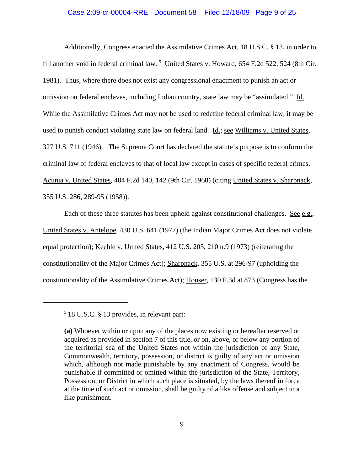#### Case 2:09-cr-00004-RRE Document 58 Filed 12/18/09 Page 9 of 25

Additionally, Congress enacted the Assimilative Crimes Act, 18 U.S.C. § 13, in order to fill another void in federal criminal law.<sup>5</sup> United States v. Howard, 654 F.2d 522, 524 (8th Cir. 1981). Thus, where there does not exist any congressional enactment to punish an act or omission on federal enclaves, including Indian country, state law may be "assimilated." Id. While the Assimilative Crimes Act may not be used to redefine federal criminal law, it may be used to punish conduct violating state law on federal land. Id.; see Williams v. United States, 327 U.S. 711 (1946). The Supreme Court has declared the statute's purpose is to conform the criminal law of federal enclaves to that of local law except in cases of specific federal crimes. Acunia v. United States, 404 F.2d 140, 142 (9th Cir. 1968) (citing United States v. Sharpnack, 355 U.S. 286, 289-95 (1958)).

Each of these three statutes has been upheld against constitutional challenges. See e.g., United States v. Antelope, 430 U.S. 641 (1977) (the Indian Major Crimes Act does not violate equal protection); Keeble v. United States, 412 U.S. 205, 210 n.9 (1973) (reiterating the constitutionality of the Major Crimes Act); Sharpnack, 355 U.S. at 296-97 (upholding the constitutionality of the Assimilative Crimes Act); Houser, 130 F.3d at 873 (Congress has the

<sup>5</sup> 18 U.S.C. § 13 provides, in relevant part:

**<sup>(</sup>a)** Whoever within or upon any of the places now existing or hereafter reserved or acquired as provided in section 7 of this title, or on, above, or below any portion of the territorial sea of the United States not within the jurisdiction of any State, Commonwealth, territory, possession, or district is guilty of any act or omission which, although not made punishable by any enactment of Congress, would be punishable if committed or omitted within the jurisdiction of the State, Territory, Possession, or District in which such place is situated, by the laws thereof in force at the time of such act or omission, shall be guilty of a like offense and subject to a like punishment.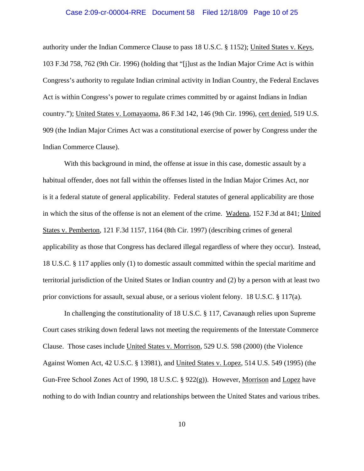#### Case 2:09-cr-00004-RRE Document 58 Filed 12/18/09 Page 10 of 25

authority under the Indian Commerce Clause to pass 18 U.S.C. § 1152); United States v. Keys, 103 F.3d 758, 762 (9th Cir. 1996) (holding that "[j]ust as the Indian Major Crime Act is within Congress's authority to regulate Indian criminal activity in Indian Country, the Federal Enclaves Act is within Congress's power to regulate crimes committed by or against Indians in Indian country."); United States v. Lomayaoma, 86 F.3d 142, 146 (9th Cir. 1996), cert denied, 519 U.S. 909 (the Indian Major Crimes Act was a constitutional exercise of power by Congress under the Indian Commerce Clause).

 With this background in mind, the offense at issue in this case, domestic assault by a habitual offender, does not fall within the offenses listed in the Indian Major Crimes Act, nor is it a federal statute of general applicability. Federal statutes of general applicability are those in which the situs of the offense is not an element of the crime. Wadena, 152 F.3d at 841; United States v. Pemberton, 121 F.3d 1157, 1164 (8th Cir. 1997) (describing crimes of general applicability as those that Congress has declared illegal regardless of where they occur). Instead, 18 U.S.C. § 117 applies only (1) to domestic assault committed within the special maritime and territorial jurisdiction of the United States or Indian country and (2) by a person with at least two prior convictions for assault, sexual abuse, or a serious violent felony. 18 U.S.C. § 117(a).

In challenging the constitutionality of 18 U.S.C. § 117, Cavanaugh relies upon Supreme Court cases striking down federal laws not meeting the requirements of the Interstate Commerce Clause. Those cases include United States v. Morrison, 529 U.S. 598 (2000) (the Violence Against Women Act, 42 U.S.C. § 13981), and United States v. Lopez, 514 U.S. 549 (1995) (the Gun-Free School Zones Act of 1990, 18 U.S.C. § 922(g)). However, Morrison and Lopez have nothing to do with Indian country and relationships between the United States and various tribes.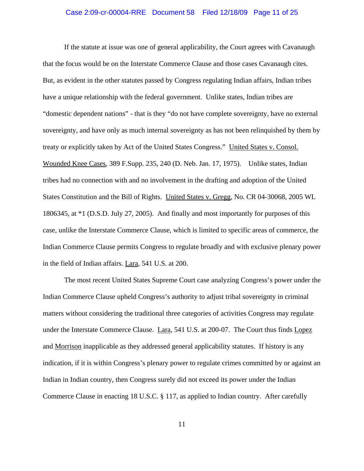# Case 2:09-cr-00004-RRE Document 58 Filed 12/18/09 Page 11 of 25

If the statute at issue was one of general applicability, the Court agrees with Cavanaugh that the focus would be on the Interstate Commerce Clause and those cases Cavanaugh cites. But, as evident in the other statutes passed by Congress regulating Indian affairs, Indian tribes have a unique relationship with the federal government. Unlike states, Indian tribes are "domestic dependent nations" - that is they "do not have complete sovereignty, have no external sovereignty, and have only as much internal sovereignty as has not been relinquished by them by treaty or explicitly taken by Act of the United States Congress." United States v. Consol. Wounded Knee Cases, 389 F.Supp. 235, 240 (D. Neb. Jan. 17, 1975). Unlike states, Indian tribes had no connection with and no involvement in the drafting and adoption of the United States Constitution and the Bill of Rights. United States v. Gregg, No. CR 04-30068, 2005 WL 1806345, at \*1 (D.S.D. July 27, 2005). And finally and most importantly for purposes of this case, unlike the Interstate Commerce Clause, which is limited to specific areas of commerce, the Indian Commerce Clause permits Congress to regulate broadly and with exclusive plenary power in the field of Indian affairs. Lara, 541 U.S. at 200.

The most recent United States Supreme Court case analyzing Congress's power under the Indian Commerce Clause upheld Congress's authority to adjust tribal sovereignty in criminal matters without considering the traditional three categories of activities Congress may regulate under the Interstate Commerce Clause. Lara, 541 U.S. at 200-07. The Court thus finds Lopez and Morrison inapplicable as they addressed general applicability statutes. If history is any indication, if it is within Congress's plenary power to regulate crimes committed by or against an Indian in Indian country, then Congress surely did not exceed its power under the Indian Commerce Clause in enacting 18 U.S.C. § 117, as applied to Indian country. After carefully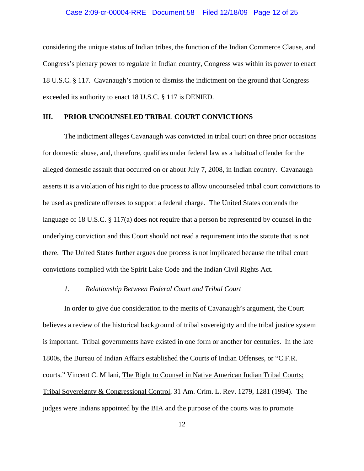#### Case 2:09-cr-00004-RRE Document 58 Filed 12/18/09 Page 12 of 25

considering the unique status of Indian tribes, the function of the Indian Commerce Clause, and Congress's plenary power to regulate in Indian country, Congress was within its power to enact 18 U.S.C. § 117. Cavanaugh's motion to dismiss the indictment on the ground that Congress exceeded its authority to enact 18 U.S.C. § 117 is DENIED.

#### **III. PRIOR UNCOUNSELED TRIBAL COURT CONVICTIONS**

The indictment alleges Cavanaugh was convicted in tribal court on three prior occasions for domestic abuse, and, therefore, qualifies under federal law as a habitual offender for the alleged domestic assault that occurred on or about July 7, 2008, in Indian country. Cavanaugh asserts it is a violation of his right to due process to allow uncounseled tribal court convictions to be used as predicate offenses to support a federal charge. The United States contends the language of 18 U.S.C. § 117(a) does not require that a person be represented by counsel in the underlying conviction and this Court should not read a requirement into the statute that is not there. The United States further argues due process is not implicated because the tribal court convictions complied with the Spirit Lake Code and the Indian Civil Rights Act.

## *1. Relationship Between Federal Court and Tribal Court*

In order to give due consideration to the merits of Cavanaugh's argument, the Court believes a review of the historical background of tribal sovereignty and the tribal justice system is important. Tribal governments have existed in one form or another for centuries. In the late 1800s, the Bureau of Indian Affairs established the Courts of Indian Offenses, or "C.F.R. courts." Vincent C. Milani, The Right to Counsel in Native American Indian Tribal Courts; Tribal Sovereignty & Congressional Control, 31 Am. Crim. L. Rev. 1279, 1281 (1994). The judges were Indians appointed by the BIA and the purpose of the courts was to promote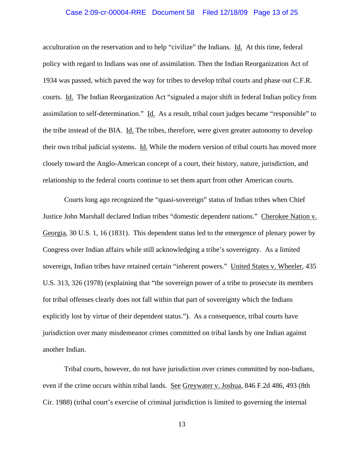#### Case 2:09-cr-00004-RRE Document 58 Filed 12/18/09 Page 13 of 25

acculturation on the reservation and to help "civilize" the Indians. Id. At this time, federal policy with regard to Indians was one of assimilation. Then the Indian Reorganization Act of 1934 was passed, which paved the way for tribes to develop tribal courts and phase out C.F.R. courts. Id. The Indian Reorganization Act "signaled a major shift in federal Indian policy from assimilation to self-determination." Id. As a result, tribal court judges became "responsible" to the tribe instead of the BIA. Id. The tribes, therefore, were given greater autonomy to develop their own tribal judicial systems. Id. While the modern version of tribal courts has moved more closely toward the Anglo-American concept of a court, their history, nature, jurisdiction, and relationship to the federal courts continue to set them apart from other American courts.

Courts long ago recognized the "quasi-sovereign" status of Indian tribes when Chief Justice John Marshall declared Indian tribes "domestic dependent nations." Cherokee Nation v. Georgia, 30 U.S. 1, 16 (1831). This dependent status led to the emergence of plenary power by Congress over Indian affairs while still acknowledging a tribe's sovereignty. As a limited sovereign, Indian tribes have retained certain "inherent powers." United States v. Wheeler, 435 U.S. 313, 326 (1978) (explaining that "the sovereign power of a tribe to prosecute its members for tribal offenses clearly does not fall within that part of sovereignty which the Indians explicitly lost by virtue of their dependent status."). As a consequence, tribal courts have jurisdiction over many misdemeanor crimes committed on tribal lands by one Indian against another Indian.

Tribal courts, however, do not have jurisdiction over crimes committed by non-Indians, even if the crime occurs within tribal lands. See Greywater v. Joshua, 846 F.2d 486, 493 (8th Cir. 1988) (tribal court's exercise of criminal jurisdiction is limited to governing the internal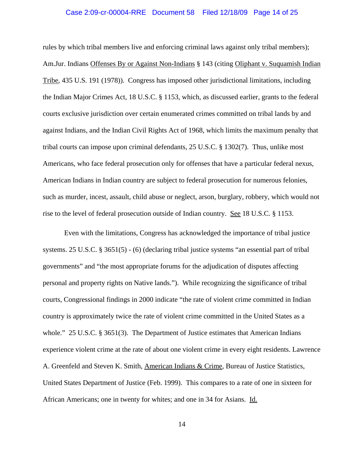#### Case 2:09-cr-00004-RRE Document 58 Filed 12/18/09 Page 14 of 25

rules by which tribal members live and enforcing criminal laws against only tribal members); Am.Jur. Indians Offenses By or Against Non-Indians § 143 (citing Oliphant v. Suquamish Indian Tribe, 435 U.S. 191 (1978)). Congress has imposed other jurisdictional limitations, including the Indian Major Crimes Act, 18 U.S.C. § 1153, which, as discussed earlier, grants to the federal courts exclusive jurisdiction over certain enumerated crimes committed on tribal lands by and against Indians, and the Indian Civil Rights Act of 1968, which limits the maximum penalty that tribal courts can impose upon criminal defendants, 25 U.S.C. § 1302(7). Thus, unlike most Americans, who face federal prosecution only for offenses that have a particular federal nexus, American Indians in Indian country are subject to federal prosecution for numerous felonies, such as murder, incest, assault, child abuse or neglect, arson, burglary, robbery, which would not rise to the level of federal prosecution outside of Indian country. See 18 U.S.C. § 1153.

Even with the limitations, Congress has acknowledged the importance of tribal justice systems. 25 U.S.C. § 3651(5) - (6) (declaring tribal justice systems "an essential part of tribal governments" and "the most appropriate forums for the adjudication of disputes affecting personal and property rights on Native lands."). While recognizing the significance of tribal courts, Congressional findings in 2000 indicate "the rate of violent crime committed in Indian country is approximately twice the rate of violent crime committed in the United States as a whole." 25 U.S.C. § 3651(3). The Department of Justice estimates that American Indians experience violent crime at the rate of about one violent crime in every eight residents. Lawrence A. Greenfeld and Steven K. Smith, American Indians & Crime, Bureau of Justice Statistics, United States Department of Justice (Feb. 1999). This compares to a rate of one in sixteen for African Americans; one in twenty for whites; and one in 34 for Asians. Id.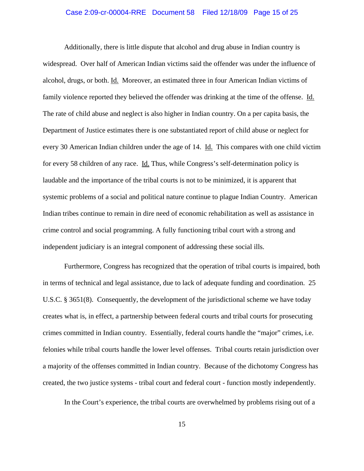## Case 2:09-cr-00004-RRE Document 58 Filed 12/18/09 Page 15 of 25

Additionally, there is little dispute that alcohol and drug abuse in Indian country is widespread. Over half of American Indian victims said the offender was under the influence of alcohol, drugs, or both. Id. Moreover, an estimated three in four American Indian victims of family violence reported they believed the offender was drinking at the time of the offense. Id. The rate of child abuse and neglect is also higher in Indian country. On a per capita basis, the Department of Justice estimates there is one substantiated report of child abuse or neglect for every 30 American Indian children under the age of 14. Id. This compares with one child victim for every 58 children of any race. Id. Thus, while Congress's self-determination policy is laudable and the importance of the tribal courts is not to be minimized, it is apparent that systemic problems of a social and political nature continue to plague Indian Country. American Indian tribes continue to remain in dire need of economic rehabilitation as well as assistance in crime control and social programming. A fully functioning tribal court with a strong and independent judiciary is an integral component of addressing these social ills.

Furthermore, Congress has recognized that the operation of tribal courts is impaired, both in terms of technical and legal assistance, due to lack of adequate funding and coordination. 25 U.S.C. § 3651(8). Consequently, the development of the jurisdictional scheme we have today creates what is, in effect, a partnership between federal courts and tribal courts for prosecuting crimes committed in Indian country. Essentially, federal courts handle the "major" crimes, i.e. felonies while tribal courts handle the lower level offenses. Tribal courts retain jurisdiction over a majority of the offenses committed in Indian country. Because of the dichotomy Congress has created, the two justice systems - tribal court and federal court - function mostly independently.

In the Court's experience, the tribal courts are overwhelmed by problems rising out of a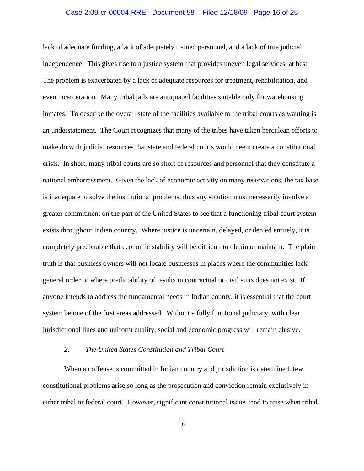#### Case 2:09-cr-00004-RRE Document 58 Filed 12/18/09 Page 16 of 25

lack of adequate funding, a lack of adequately trained personnel, and a lack of true judicial independence. This gives rise to a justice system that provides uneven legal services, at best. The problem is exacerbated by a lack of adequate resources for treatment, rehabilitation, and even incarceration. Many tribal jails are antiquated facilities suitable only for warehousing inmates. To describe the overall state of the facilities available to the tribal courts as wanting is an understatement. The Court recognizes that many of the tribes have taken herculean efforts to make do with judicial resources that state and federal courts would deem create a constitutional crisis. In short, many tribal courts are so short of resources and personnel that they constitute a national embarrassment. Given the lack of economic activity on many reservations, the tax base is inadequate to solve the institutional problems, thus any solution must necessarily involve a greater commitment on the part of the United States to see that a functioning tribal court system exists throughout Indian country. Where justice is uncertain, delayed, or denied entirely, it is completely predictable that economic stability will be difficult to obtain or maintain. The plain truth is that business owners will not locate businesses in places where the communities lack general order or where predictability of results in contractual or civil suits does not exist. If anyone intends to address the fundamental needs in Indian county, it is essential that the court system be one of the first areas addressed. Without a fully functional judiciary, with clear jurisdictional lines and uniform quality, social and economic progress will remain elusive.

## *2. The United States Constitution and Tribal Court*

When an offense is committed in Indian country and jurisdiction is determined, few constitutional problems arise so long as the prosecution and conviction remain exclusively in either tribal or federal court. However, significant constitutional issues tend to arise when tribal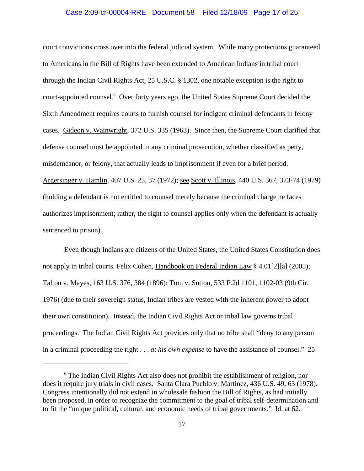#### Case 2:09-cr-00004-RRE Document 58 Filed 12/18/09 Page 17 of 25

court convictions cross over into the federal judicial system. While many protections guaranteed to Americans in the Bill of Rights have been extended to American Indians in tribal court through the Indian Civil Rights Act, 25 U.S.C. § 1302, one notable exception is the right to court-appointed counsel.<sup>6</sup> Over forty years ago, the United States Supreme Court decided the Sixth Amendment requires courts to furnish counsel for indigent criminal defendants in felony cases. Gideon v. Wainwright, 372 U.S. 335 (1963). Since then, the Supreme Court clarified that defense counsel must be appointed in any criminal prosecution, whether classified as petty, misdemeanor, or felony, that actually leads to imprisonment if even for a brief period. Argersinger v. Hamlin, 407 U.S. 25, 37 (1972); see Scott v. Illinois, 440 U.S. 367, 373-74 (1979) (holding a defendant is not entitled to counsel merely because the criminal charge he faces authorizes imprisonment; rather, the right to counsel applies only when the defendant is actually sentenced to prison).

Even though Indians are citizens of the United States, the United States Constitution does not apply in tribal courts. Felix Cohen, Handbook on Federal Indian Law § 4.01[2][a] (2005); Talton v. Mayes, 163 U.S. 376, 384 (1896); Tom v. Sutton, 533 F.2d 1101, 1102-03 (9th Cir. 1976) (due to their sovereign status, Indian tribes are vested with the inherent power to adopt their own constitution). Instead, the Indian Civil Rights Act or tribal law governs tribal proceedings. The Indian Civil Rights Act provides only that no tribe shall "deny to any person in a criminal proceeding the right . . . *at his own expense* to have the assistance of counsel." 25

<sup>&</sup>lt;sup>6</sup> The Indian Civil Rights Act also does not prohibit the establishment of religion, nor does it require jury trials in civil cases. Santa Clara Pueblo v. Martinez, 436 U.S. 49, 63 (1978). Congress intentionally did not extend in wholesale fashion the Bill of Rights, as had initially been proposed, in order to recognize the commitment to the goal of tribal self-determination and to fit the "unique political, cultural, and economic needs of tribal governments." Id. at 62.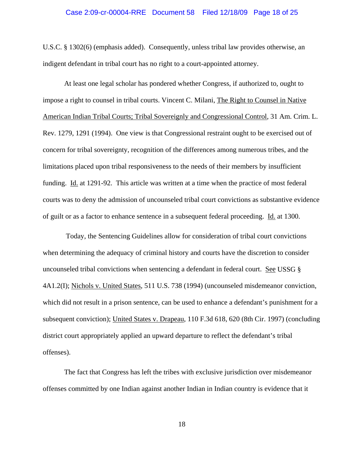#### Case 2:09-cr-00004-RRE Document 58 Filed 12/18/09 Page 18 of 25

U.S.C. § 1302(6) (emphasis added). Consequently, unless tribal law provides otherwise, an indigent defendant in tribal court has no right to a court-appointed attorney.

At least one legal scholar has pondered whether Congress, if authorized to, ought to impose a right to counsel in tribal courts. Vincent C. Milani, The Right to Counsel in Native American Indian Tribal Courts; Tribal Sovereignly and Congressional Control, 31 Am. Crim. L. Rev. 1279, 1291 (1994). One view is that Congressional restraint ought to be exercised out of concern for tribal sovereignty, recognition of the differences among numerous tribes, and the limitations placed upon tribal responsiveness to the needs of their members by insufficient funding. Id. at 1291-92. This article was written at a time when the practice of most federal courts was to deny the admission of uncounseled tribal court convictions as substantive evidence of guilt or as a factor to enhance sentence in a subsequent federal proceeding. Id. at 1300.

 Today, the Sentencing Guidelines allow for consideration of tribal court convictions when determining the adequacy of criminal history and courts have the discretion to consider uncounseled tribal convictions when sentencing a defendant in federal court. See USSG § 4A1.2(I); Nichols v. United States, 511 U.S. 738 (1994) (uncounseled misdemeanor conviction, which did not result in a prison sentence, can be used to enhance a defendant's punishment for a subsequent conviction); United States v. Drapeau, 110 F.3d 618, 620 (8th Cir. 1997) (concluding district court appropriately applied an upward departure to reflect the defendant's tribal offenses).

The fact that Congress has left the tribes with exclusive jurisdiction over misdemeanor offenses committed by one Indian against another Indian in Indian country is evidence that it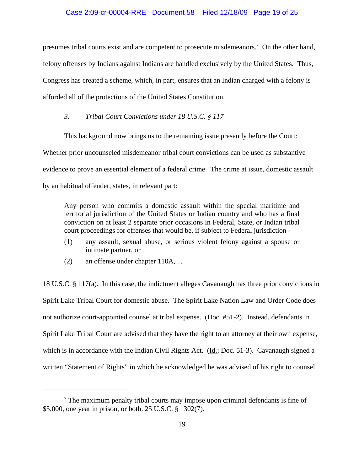#### Case 2:09-cr-00004-RRE Document 58 Filed 12/18/09 Page 19 of 25

presumes tribal courts exist and are competent to prosecute misdemeanors.<sup>7</sup> On the other hand, felony offenses by Indians against Indians are handled exclusively by the United States. Thus, Congress has created a scheme, which, in part, ensures that an Indian charged with a felony is afforded all of the protections of the United States Constitution.

#### *3. Tribal Court Convictions under 18 U.S.C. § 117*

This background now brings us to the remaining issue presently before the Court:

Whether prior uncounseled misdemeanor tribal court convictions can be used as substantive evidence to prove an essential element of a federal crime. The crime at issue, domestic assault by an habitual offender, states, in relevant part:

Any person who commits a domestic assault within the special maritime and territorial jurisdiction of the United States or Indian country and who has a final conviction on at least 2 separate prior occasions in Federal, State, or Indian tribal court proceedings for offenses that would be, if subject to Federal jurisdiction -

- (1) any assault, sexual abuse, or serious violent felony against a spouse or intimate partner, or
- (2) an offense under chapter 110A, . .

18 U.S.C. § 117(a). In this case, the indictment alleges Cavanaugh has three prior convictions in Spirit Lake Tribal Court for domestic abuse. The Spirit Lake Nation Law and Order Code does not authorize court-appointed counsel at tribal expense. (Doc. #51-2). Instead, defendants in Spirit Lake Tribal Court are advised that they have the right to an attorney at their own expense, which is in accordance with the Indian Civil Rights Act. (Id.; Doc. 51-3). Cavanaugh signed a written "Statement of Rights" in which he acknowledged he was advised of his right to counsel

 $<sup>7</sup>$  The maximum penalty tribal courts may impose upon criminal defendants is fine of</sup> \$5,000, one year in prison, or both. 25 U.S.C. § 1302(7).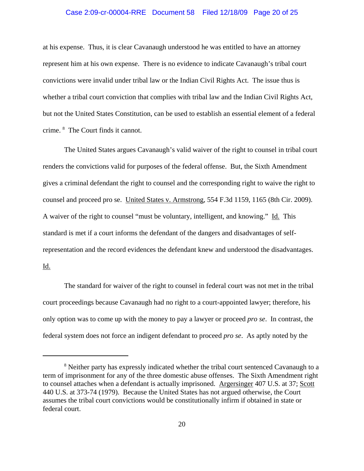#### Case 2:09-cr-00004-RRE Document 58 Filed 12/18/09 Page 20 of 25

at his expense. Thus, it is clear Cavanaugh understood he was entitled to have an attorney represent him at his own expense. There is no evidence to indicate Cavanaugh's tribal court convictions were invalid under tribal law or the Indian Civil Rights Act. The issue thus is whether a tribal court conviction that complies with tribal law and the Indian Civil Rights Act, but not the United States Constitution, can be used to establish an essential element of a federal crime. 8 The Court finds it cannot.

The United States argues Cavanaugh's valid waiver of the right to counsel in tribal court renders the convictions valid for purposes of the federal offense. But, the Sixth Amendment gives a criminal defendant the right to counsel and the corresponding right to waive the right to counsel and proceed pro se. United States v. Armstrong, 554 F.3d 1159, 1165 (8th Cir. 2009). A waiver of the right to counsel "must be voluntary, intelligent, and knowing." Id. This standard is met if a court informs the defendant of the dangers and disadvantages of selfrepresentation and the record evidences the defendant knew and understood the disadvantages. Id.

The standard for waiver of the right to counsel in federal court was not met in the tribal court proceedings because Cavanaugh had no right to a court-appointed lawyer; therefore, his only option was to come up with the money to pay a lawyer or proceed *pro se*. In contrast, the federal system does not force an indigent defendant to proceed *pro se*. As aptly noted by the

<sup>&</sup>lt;sup>8</sup> Neither party has expressly indicated whether the tribal court sentenced Cavanaugh to a term of imprisonment for any of the three domestic abuse offenses. The Sixth Amendment right to counsel attaches when a defendant is actually imprisoned. Argersinger 407 U.S. at 37; Scott 440 U.S. at 373-74 (1979). Because the United States has not argued otherwise, the Court assumes the tribal court convictions would be constitutionally infirm if obtained in state or federal court.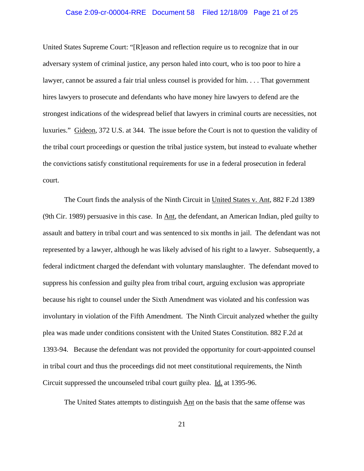#### Case 2:09-cr-00004-RRE Document 58 Filed 12/18/09 Page 21 of 25

United States Supreme Court: "[R]eason and reflection require us to recognize that in our adversary system of criminal justice, any person haled into court, who is too poor to hire a lawyer, cannot be assured a fair trial unless counsel is provided for him. . . . That government hires lawyers to prosecute and defendants who have money hire lawyers to defend are the strongest indications of the widespread belief that lawyers in criminal courts are necessities, not luxuries." Gideon, 372 U.S. at 344. The issue before the Court is not to question the validity of the tribal court proceedings or question the tribal justice system, but instead to evaluate whether the convictions satisfy constitutional requirements for use in a federal prosecution in federal court.

The Court finds the analysis of the Ninth Circuit in United States v. Ant, 882 F.2d 1389 (9th Cir. 1989) persuasive in this case. In Ant, the defendant, an American Indian, pled guilty to assault and battery in tribal court and was sentenced to six months in jail. The defendant was not represented by a lawyer, although he was likely advised of his right to a lawyer. Subsequently, a federal indictment charged the defendant with voluntary manslaughter. The defendant moved to suppress his confession and guilty plea from tribal court, arguing exclusion was appropriate because his right to counsel under the Sixth Amendment was violated and his confession was involuntary in violation of the Fifth Amendment. The Ninth Circuit analyzed whether the guilty plea was made under conditions consistent with the United States Constitution. 882 F.2d at 1393-94. Because the defendant was not provided the opportunity for court-appointed counsel in tribal court and thus the proceedings did not meet constitutional requirements, the Ninth Circuit suppressed the uncounseled tribal court guilty plea. Id. at 1395-96.

The United States attempts to distinguish Ant on the basis that the same offense was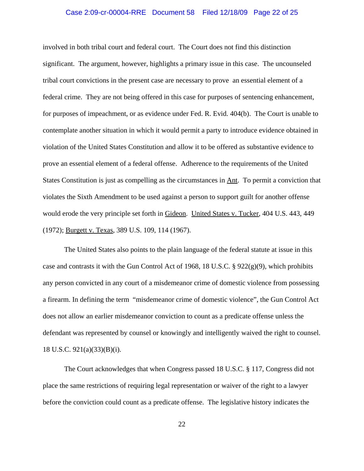#### Case 2:09-cr-00004-RRE Document 58 Filed 12/18/09 Page 22 of 25

involved in both tribal court and federal court. The Court does not find this distinction significant. The argument, however, highlights a primary issue in this case. The uncounseled tribal court convictions in the present case are necessary to prove an essential element of a federal crime. They are not being offered in this case for purposes of sentencing enhancement, for purposes of impeachment, or as evidence under Fed. R. Evid. 404(b). The Court is unable to contemplate another situation in which it would permit a party to introduce evidence obtained in violation of the United States Constitution and allow it to be offered as substantive evidence to prove an essential element of a federal offense. Adherence to the requirements of the United States Constitution is just as compelling as the circumstances in Ant. To permit a conviction that violates the Sixth Amendment to be used against a person to support guilt for another offense would erode the very principle set forth in Gideon. United States v. Tucker, 404 U.S. 443, 449 (1972); Burgett v. Texas, 389 U.S. 109, 114 (1967).

The United States also points to the plain language of the federal statute at issue in this case and contrasts it with the Gun Control Act of 1968, 18 U.S.C. § 922(g)(9), which prohibits any person convicted in any court of a misdemeanor crime of domestic violence from possessing a firearm. In defining the term "misdemeanor crime of domestic violence", the Gun Control Act does not allow an earlier misdemeanor conviction to count as a predicate offense unless the defendant was represented by counsel or knowingly and intelligently waived the right to counsel. 18 U.S.C. 921(a)(33)(B)(i).

The Court acknowledges that when Congress passed 18 U.S.C. § 117, Congress did not place the same restrictions of requiring legal representation or waiver of the right to a lawyer before the conviction could count as a predicate offense. The legislative history indicates the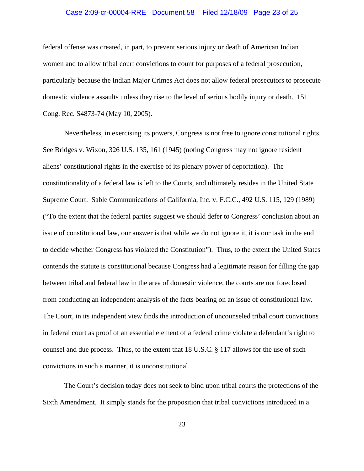#### Case 2:09-cr-00004-RRE Document 58 Filed 12/18/09 Page 23 of 25

federal offense was created, in part, to prevent serious injury or death of American Indian women and to allow tribal court convictions to count for purposes of a federal prosecution, particularly because the Indian Major Crimes Act does not allow federal prosecutors to prosecute domestic violence assaults unless they rise to the level of serious bodily injury or death. 151 Cong. Rec. S4873-74 (May 10, 2005).

Nevertheless, in exercising its powers, Congress is not free to ignore constitutional rights. See Bridges v. Wixon, 326 U.S. 135, 161 (1945) (noting Congress may not ignore resident aliens' constitutional rights in the exercise of its plenary power of deportation). The constitutionality of a federal law is left to the Courts, and ultimately resides in the United State Supreme Court. Sable Communications of California, Inc. v. F.C.C., 492 U.S. 115, 129 (1989) ("To the extent that the federal parties suggest we should defer to Congress' conclusion about an issue of constitutional law, our answer is that while we do not ignore it, it is our task in the end to decide whether Congress has violated the Constitution"). Thus, to the extent the United States contends the statute is constitutional because Congress had a legitimate reason for filling the gap between tribal and federal law in the area of domestic violence, the courts are not foreclosed from conducting an independent analysis of the facts bearing on an issue of constitutional law. The Court, in its independent view finds the introduction of uncounseled tribal court convictions in federal court as proof of an essential element of a federal crime violate a defendant's right to counsel and due process. Thus, to the extent that 18 U.S.C. § 117 allows for the use of such convictions in such a manner, it is unconstitutional.

The Court's decision today does not seek to bind upon tribal courts the protections of the Sixth Amendment. It simply stands for the proposition that tribal convictions introduced in a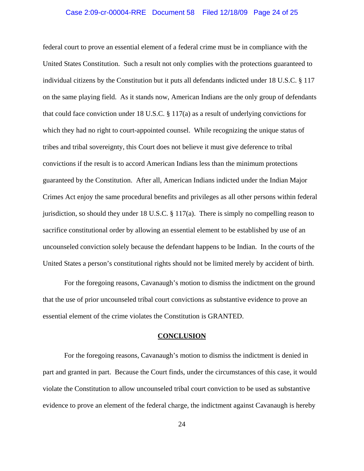#### Case 2:09-cr-00004-RRE Document 58 Filed 12/18/09 Page 24 of 25

federal court to prove an essential element of a federal crime must be in compliance with the United States Constitution. Such a result not only complies with the protections guaranteed to individual citizens by the Constitution but it puts all defendants indicted under 18 U.S.C. § 117 on the same playing field. As it stands now, American Indians are the only group of defendants that could face conviction under 18 U.S.C. § 117(a) as a result of underlying convictions for which they had no right to court-appointed counsel. While recognizing the unique status of tribes and tribal sovereignty, this Court does not believe it must give deference to tribal convictions if the result is to accord American Indians less than the minimum protections guaranteed by the Constitution. After all, American Indians indicted under the Indian Major Crimes Act enjoy the same procedural benefits and privileges as all other persons within federal jurisdiction, so should they under 18 U.S.C. § 117(a). There is simply no compelling reason to sacrifice constitutional order by allowing an essential element to be established by use of an uncounseled conviction solely because the defendant happens to be Indian. In the courts of the United States a person's constitutional rights should not be limited merely by accident of birth.

For the foregoing reasons, Cavanaugh's motion to dismiss the indictment on the ground that the use of prior uncounseled tribal court convictions as substantive evidence to prove an essential element of the crime violates the Constitution is GRANTED.

#### **CONCLUSION**

For the foregoing reasons, Cavanaugh's motion to dismiss the indictment is denied in part and granted in part. Because the Court finds, under the circumstances of this case, it would violate the Constitution to allow uncounseled tribal court conviction to be used as substantive evidence to prove an element of the federal charge, the indictment against Cavanaugh is hereby